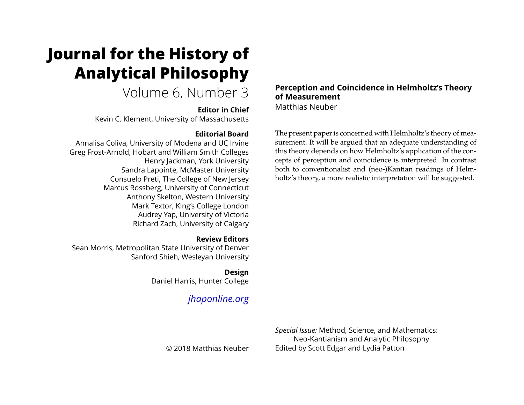# **Journal for the History of Analytical Philosophy**

# Volume 6, Number 3

#### **Editor in Chief**

Kevin C. Klement, University of Massachusetts

## **Editorial Board**

Annalisa Coliva, University of Modena and UC Irvine Greg Frost-Arnold, Hobart and William Smith Colleges Henry Jackman, York University Sandra Lapointe, McMaster University Consuelo Preti, The College of New Jersey Marcus Rossberg, University of Connecticut Anthony Skelton, Western University Mark Textor, King's College London Audrey Yap, University of Victoria Richard Zach, University of Calgary

### **Review Editors**

Sean Morris, Metropolitan State University of Denver Sanford Shieh, Wesleyan University

# **Design**

Daniel Harris, Hunter College

# *[jhaponline.org](https://jhaponline.org)*

#### **Perception and Coincidence in Helmholtz's Theory of Measurement** Matthias Neuber

The present paper is concerned with Helmholtz's theory of measurement. It will be argued that an adequate understanding of this theory depends on how Helmholtz's application of the concepts of perception and coincidence is interpreted. In contrast both to conventionalist and (neo-)Kantian readings of Helmholtz's theory, a more realistic interpretation will be suggested.

*Special Issue:* Method, Science, and Mathematics: Neo-Kantianism and Analytic Philosophy Edited by Scott Edgar and Lydia Patton

© 2018 Matthias Neuber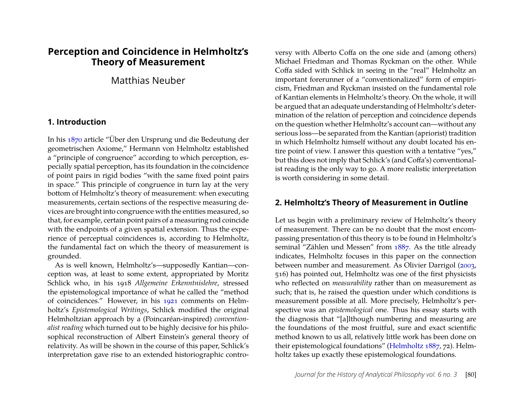### **Perception and Coincidence in Helmholtz's Theory of Measurement**

Matthias Neuber

#### **1. Introduction**

In his [1870](#page-14-0) article "Über den Ursprung und die Bedeutung der geometrischen Axiome," Hermann von Helmholtz established a "principle of congruence" according to which perception, especially spatial perception, has its foundation in the coincidence of point pairs in rigid bodies "with the same fixed point pairs in space." This principle of congruence in turn lay at the very bottom of Helmholtz's theory of measurement: when executing measurements, certain sections of the respective measuring devices are brought into congruence with the entities measured, so that, for example, certain point pairs of a measuring rod coincide with the endpoints of a given spatial extension. Thus the experience of perceptual coincidences is, according to Helmholtz, the fundamental fact on which the theory of measurement is grounded.

As is well known, Helmholtz's—supposedly Kantian—conception was, at least to some extent, appropriated by Moritz Schlick who, in his 1918 *Allgemeine Erkenntnislehre*, stressed the epistemological importance of what he called the "method of coincidences." However, in his [1921](#page-15-0) comments on Helmholtz's *Epistemological Writings*, Schlick modified the original Helmholtzian approach by a (Poincaréan-inspired) *conventionalist reading* which turned out to be highly decisive for his philosophical reconstruction of Albert Einstein's general theory of relativity. As will be shown in the course of this paper, Schlick's interpretation gave rise to an extended historiographic controversy with Alberto Coffa on the one side and (among others) Michael Friedman and Thomas Ryckman on the other. While Coffa sided with Schlick in seeing in the "real" Helmholtz an important forerunner of a "conventionalized" form of empiricism, Friedman and Ryckman insisted on the fundamental role of Kantian elements in Helmholtz's theory. On the whole, it will be argued that an adequate understanding of Helmholtz's determination of the relation of perception and coincidence depends on the question whether Helmholtz's account can—without any serious loss—be separated from the Kantian (apriorist) tradition in which Helmholtz himself without any doubt located his entire point of view. I answer this question with a tentative "yes," but this does not imply that Schlick's (and Coffa's) conventionalist reading is the only way to go. A more realistic interpretation is worth considering in some detail.

#### <span id="page-1-0"></span>**2. Helmholtz's Theory of Measurement in Outline**

Let us begin with a preliminary review of Helmholtz's theory of measurement. There can be no doubt that the most encompassing presentation of this theory is to be found in Helmholtz's seminal "Zählen und Messen" from [1887.](#page-14-1) As the title already indicates, Helmholtz focuses in this paper on the connection between number and measurement. As Olivier Darrigol [\(2003,](#page-14-2) 516) has pointed out, Helmholtz was one of the first physicists who reflected on *measurability* rather than on measurement as such; that is, he raised the question under which conditions is measurement possible at all. More precisely, Helmholtz's perspective was an *epistemological* one. Thus his essay starts with the diagnosis that "[a]lthough numbering and measuring are the foundations of the most fruitful, sure and exact scientific method known to us all, relatively little work has been done on their epistemological foundations" [\(Helmholtz 1887,](#page-14-1) 72). Helmholtz takes up exactly these epistemological foundations.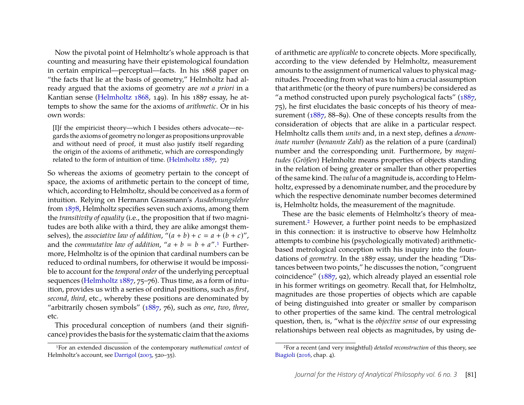Now the pivotal point of Helmholtz's whole approach is that counting and measuring have their epistemological foundation in certain empirical—perceptual—facts. In his 1868 paper on "the facts that lie at the basis of geometry," Helmholtz had already argued that the axioms of geometry are *not a priori* in a Kantian sense [\(Helmholtz 1868,](#page-14-3) 149). In his 1887 essay, he attempts to show the same for the axioms of *arithmetic*. Or in his own words:

[I]f the empiricist theory—which I besides others advocate—regards the axioms of geometry no longer as propositions unprovable and without need of proof, it must also justify itself regarding the origin of the axioms of arithmetic, which are correspondingly related to the form of intuition of time. [\(Helmholtz 1887,](#page-14-1) 72)

So whereas the axioms of geometry pertain to the concept of space, the axioms of arithmetic pertain to the concept of time, which, according to Helmholtz, should be conceived as a form of intuition. Relying on Hermann Grassmann's *Ausdehnungslehre* from [1878,](#page-14-4) Helmholtz specifies seven such axioms, among them the *transitivity of equality* (i.e., the proposition that if two magnitudes are both alike with a third, they are alike amongst themselves), the *associative law of addition*,  $''(a + b) + c = a + (b + c)''$ , and the *commutative law of addition*, " $a + b = b + a$ ".<sup>[1](#page-2-0)</sup> Furthermore, Helmholtz is of the opinion that cardinal numbers can be reduced to ordinal numbers, for otherwise it would be impossible to account for the *temporal order* of the underlying perceptual sequences [\(Helmholtz 1887,](#page-14-1) 75-76). Thus time, as a form of intuition, provides us with a series of ordinal positions, such as *first*, *second*, *third*, etc., whereby these positions are denominated by "arbitrarily chosen symbols" [\(1887,](#page-14-1) 76), such as *one*, *two*, *three*, etc.

This procedural conception of numbers (and their significance) provides the basis for the systematic claim that the axioms

of arithmetic are *applicable* to concrete objects. More specifically, according to the view defended by Helmholtz, measurement amounts to the assignment of numerical values to physical magnitudes. Proceeding from what was to him a crucial assumption that arithmetic (or the theory of pure numbers) be considered as "a method constructed upon purely psychological facts" [\(1887,](#page-14-1) 75), he first elucidates the basic concepts of his theory of measurement [\(1887,](#page-14-1) 88–89). One of these concepts results from the consideration of objects that are alike in a particular respect. Helmholtz calls them *units* and, in a next step, defines a *denominate number* (*benannte Zahl*) as the relation of a pure (cardinal) number and the corresponding unit. Furthermore, by *magnitudes* (*Größen*) Helmholtz means properties of objects standing in the relation of being greater or smaller than other properties of the same kind. The *value* of a magnitude is, according to Helmholtz, expressed by a denominate number, and the procedure by which the respective denominate number becomes determined is, Helmholtz holds, the measurement of the magnitude.

These are the basic elements of Helmholtz's theory of measurement.[2](#page-2-1) However, a further point needs to be emphasized in this connection: it is instructive to observe how Helmholtz attempts to combine his (psychologically motivated) arithmeticbased metrological conception with his inquiry into the foundations of *geometry*. In the 1887 essay, under the heading "Distances between two points," he discusses the notion, "congruent coincidence" [\(1887,](#page-14-1) 92), which already played an essential role in his former writings on geometry. Recall that, for Helmholtz, magnitudes are those properties of objects which are capable of being distinguished into greater or smaller by comparison to other properties of the same kind. The central metrological question, then, is, "what is the *objective sense* of our expressing relationships between real objects as magnitudes, by using de-

<span id="page-2-0"></span><sup>1</sup>For an extended discussion of the contemporary *mathematical context* of Helmholtz's account, see [Darrigol](#page-14-2) [\(2003,](#page-14-2) 520–35).

<span id="page-2-1"></span><sup>2</sup>For a recent (and very insightful) *detailed reconstruction* of this theory, see [Biagioli](#page-14-5) [\(2016,](#page-14-5) chap. 4).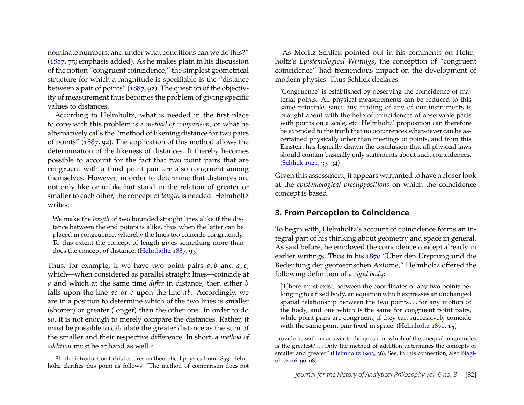nominate numbers; and under what conditions can we do this?" [\(1887,](#page-14-1) 75; emphasis added). As he makes plain in his discussion of the notion "congruent coincidence," the simplest geometrical structure for which a magnitude is specifiable is the "distance between a pair of points" [\(1887,](#page-14-1) 92). The question of the objectivity of measurement thus becomes the problem of giving specific values to distances.

According to Helmholtz, what is needed in the first place to cope with this problem is a *method of comparison*, or what he alternatively calls the "method of likening distance for two pairs of points" [\(1887,](#page-14-1) 92). The application of this method allows the determination of the likeness of distances. It thereby becomes possible to account for the fact that two point pairs that are congruent with a third point pair are also congruent among themselves. However, in order to determine that distances are not only like or unlike but stand in the relation of greater or smaller to each other, the concept of *length* is needed. Helmholtz writes:

We make the *length* of two bounded straight lines alike if the distance between the end points is alike, thus when the latter can be placed in congruence, whereby the lines too coincide congruently. To this extent the concept of length gives something more than does the concept of distance. [\(Helmholtz 1887,](#page-14-1) 93)

Thus, for example, if we have two point pairs *<sup>a</sup>*, *<sup>b</sup>* and *<sup>a</sup>*, *<sup>c</sup>*, which—when considered as parallel straight lines—coincide at *a* and which at the same time *differ* in distance, then either *b* falls upon the line *ac* or *c* upon the line *ab*. Accordingly, we are in a position to determine which of the two lines is smaller (shorter) or greater (longer) than the other one. In order to do so, it is not enough to merely compare the distances. Rather, it must be possible to calculate the greater distance as the sum of the smaller and their respective difference. In short, a *method of addition* must be at hand as well.[3](#page-3-0)

As Moritz Schlick pointed out in his comments on Helmholtz's *Epistemological Writings*, the conception of "congruent coincidence" had tremendous impact on the development of modern physics. Thus Schlick declares:

'Congruence' is established by observing the coincidence of material points. All physical measurements can be reduced to this same principle, since any reading of any of our instruments is brought about with the help of coincidences of observable parts with points on a scale, etc. Helmholtz' proposition can therefore be extended to the truth that no occurrences whatsoever can be ascertained physically other than meetings of points, and from this Einstein has logically drawn the conclusion that all physical laws should contain basically only statements about such coincidences. [\(Schlick 1921,](#page-15-0) 33–34)

Given this assessment, it appears warranted to have a closer look at the *epistemological presuppositions* on which the coincidence concept is based.

#### **3. From Perception to Coincidence**

To begin with, Helmholtz's account of coincidence forms an integral part of his thinking about geometry and space in general. As said before, he employed the coincidence concept already in earlier writings. Thus in his [1870](#page-14-0) "Über den Ursprung und die Bedeutung der geometrischen Axiome," Helmholtz offered the following definition of a *rigid body*:

[T]here must exist, between the coordinates of any two points belonging to a fixed body, an equation which expresses an unchanged spatial relationship between the two points . . . for any motion of the body, and one which is the same for congruent point pairs, while point pairs are congruent, if they can successively coincide with the same point pair fixed in space. [\(Helmholtz 1870,](#page-14-0) 15)

<span id="page-3-0"></span><sup>3</sup>In the introduction to his lectures on theoretical physics from 1893, Helmholtz clarifies this point as follows: "The method of comparison does not

provide us with an answer to the question: which of the unequal magnitudes is the greatest? . . . Only the method of addition determines the concepts of smaller and greater" [\(Helmholtz 1903,](#page-14-6) 36). See, in this connection, also [Biagi](#page-14-5)[oli](#page-14-5) [\(2016,](#page-14-5) 96–98).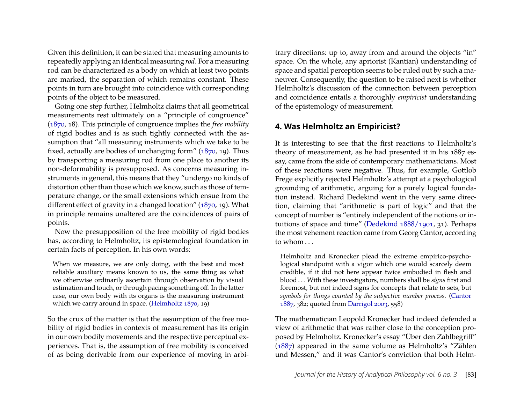Given this definition, it can be stated that measuring amounts to repeatedly applying an identical measuring *rod*. For a measuring rod can be characterized as a body on which at least two points are marked, the separation of which remains constant. These points in turn are brought into coincidence with corresponding points of the object to be measured.

Going one step further, Helmholtz claims that all geometrical measurements rest ultimately on a "principle of congruence" [\(1870,](#page-14-0) 18). This principle of congruence implies the *free mobility* of rigid bodies and is as such tightly connected with the assumption that "all measuring instruments which we take to be fixed, actually are bodies of unchanging form" [\(1870,](#page-14-0) 19). Thus by transporting a measuring rod from one place to another its non-deformability is presupposed. As concerns measuring instruments in general, this means that they "undergo no kinds of distortion other than those which we know, such as those of temperature change, or the small extensions which ensue from the different effect of gravity in a changed location" [\(1870,](#page-14-0) 19). What in principle remains unaltered are the coincidences of pairs of points.

Now the presupposition of the free mobility of rigid bodies has, according to Helmholtz, its epistemological foundation in certain facts of perception. In his own words:

When we measure, we are only doing, with the best and most reliable auxiliary means known to us, the same thing as what we otherwise ordinarily ascertain through observation by visual estimation and touch, or through pacing something off. In the latter case, our own body with its organs is the measuring instrument which we carry around in space. [\(Helmholtz 1870,](#page-14-0) 19)

So the crux of the matter is that the assumption of the free mobility of rigid bodies in contexts of measurement has its origin in our own bodily movements and the respective perceptual experiences. That is, the assumption of free mobility is conceived of as being derivable from our experience of moving in arbitrary directions: up to, away from and around the objects "in" space. On the whole, any apriorist (Kantian) understanding of space and spatial perception seems to be ruled out by such a maneuver. Consequently, the question to be raised next is whether Helmholtz's discussion of the connection between perception and coincidence entails a thoroughly *empiricist* understanding of the epistemology of measurement.

#### **4. Was Helmholtz an Empiricist?**

It is interesting to see that the first reactions to Helmholtz's theory of measurement, as he had presented it in his 1887 essay, came from the side of contemporary mathematicians. Most of these reactions were negative. Thus, for example, Gottlob Frege explicitly rejected Helmholtz's attempt at a psychological grounding of arithmetic, arguing for a purely logical foundation instead. Richard Dedekind went in the very same direction, claiming that "arithmetic is part of logic" and that the concept of number is "entirely independent of the notions or intuitions of space and time" [\(Dedekind 1888/1901,](#page-14-7) 31). Perhaps the most vehement reaction came from Georg Cantor, according to whom ...

Helmholtz and Kronecker plead the extreme empirico-psychological standpoint with a vigor which one would scarcely deem credible, if it did not here appear twice embodied in flesh and blood . . . With these investigators, numbers shall be *signs* first and foremost, but not indeed signs for concepts that relate to sets, but *symbols for things counted by the subjective number process*. [\(Cantor](#page-14-8) [1887,](#page-14-8) 382; quoted from [Darrigol 2003,](#page-14-2) 558)

The mathematician Leopold Kronecker had indeed defended a view of arithmetic that was rather close to the conception proposed by Helmholtz. Kronecker's essay "Über den Zahlbegriff" [\(1887\)](#page-15-1) appeared in the same volume as Helmholtz's "Zählen und Messen," and it was Cantor's conviction that both Helm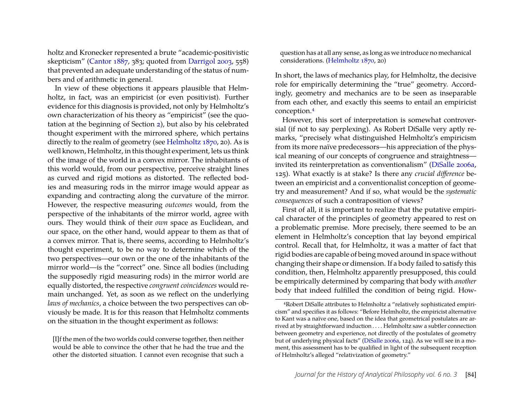holtz and Kronecker represented a brute "academic-positivistic skepticism" [\(Cantor 1887,](#page-14-8) 383; quoted from [Darrigol 2003,](#page-14-2) 558) that prevented an adequate understanding of the status of numbers and of arithmetic in general.

In view of these objections it appears plausible that Helmholtz, in fact, was an empiricist (or even positivist). Further evidence for this diagnosis is provided, not only by Helmholtz's own characterization of his theory as "empiricist" (see the quotation at the beginning of Section [2\)](#page-1-0), but also by his celebrated thought experiment with the mirrored sphere, which pertains directly to the realm of geometry (see [Helmholtz 1870,](#page-14-0) 20). As is well known, Helmholtz, in this thought experiment, lets us think of the image of the world in a convex mirror. The inhabitants of this world would, from our perspective, perceive straight lines as curved and rigid motions as distorted. The reflected bodies and measuring rods in the mirror image would appear as expanding and contracting along the curvature of the mirror. However, the respective measuring *outcomes* would, from the perspective of the inhabitants of the mirror world, agree with ours. They would think of their *own* space as Euclidean, and our space, on the other hand, would appear to them as that of a convex mirror. That is, there seems, according to Helmholtz's thought experiment, to be no way to determine which of the two perspectives—our own or the one of the inhabitants of the mirror world—is the "correct" one. Since all bodies (including the supposedly rigid measuring rods) in the mirror world are equally distorted, the respective *congruent coincidences* would remain unchanged. Yet, as soon as we reflect on the underlying *laws of mechanics*, a choice between the two perspectives can obviously be made. It is for this reason that Helmholtz comments on the situation in the thought experiment as follows:

[I]f the men of the two worlds could converse together, then neither would be able to convince the other that he had the true and the other the distorted situation. I cannot even recognise that such a question has at all any sense, as long as we introduce no mechanical considerations. [\(Helmholtz 1870,](#page-14-0) 20)

In short, the laws of mechanics play, for Helmholtz, the decisive role for empirically determining the "true" geometry. Accordingly, geometry and mechanics are to be seen as inseparable from each other, and exactly this seems to entail an empiricist conception.[4](#page-5-0)

However, this sort of interpretation is somewhat controversial (if not to say perplexing). As Robert DiSalle very aptly remarks, "precisely what distinguished Helmholtz's empiricism from its more naïve predecessors—his appreciation of the physical meaning of our concepts of congruence and straightness invited its reinterpretation as conventionalism" [\(DiSalle 2006a,](#page-14-9) 125). What exactly is at stake? Is there any *crucial difference* between an empiricist and a conventionalist conception of geometry and measurement? And if so, what would be the *systematic consequences* of such a contraposition of views?

First of all, it is important to realize that the putative empirical character of the principles of geometry appeared to rest on a problematic premise. More precisely, there seemed to be an element in Helmholtz's conception that lay beyond empirical control. Recall that, for Helmholtz, it was a matter of fact that rigid bodies are capable of being moved around in space without changing their shape or dimension. If a body failed to satisfy this condition, then, Helmholtz apparently presupposed, this could be empirically determined by comparing that body with *another* body that indeed fulfilled the condition of being rigid. How-

<span id="page-5-0"></span><sup>4</sup>Robert DiSalle attributes to Helmholtz a "relatively sophisticated empiricism" and specifies it as follows: "Before Helmholtz, the empiricist alternative to Kant was a naïve one, based on the idea that geometrical postulates are arrived at by straightforward induction . . . . Helmholtz saw a subtler connection between geometry and experience, not directly of the postulates of geometry but of underlying physical facts" [\(DiSalle 2006a,](#page-14-9) 124). As we will see in a moment, this assessment has to be qualified in light of the subsequent reception of Helmholtz's alleged "relativization of geometry."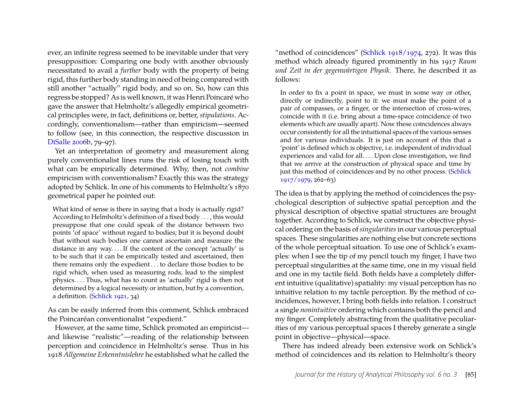ever, an infinite regress seemed to be inevitable under that very presupposition: Comparing one body with another obviously necessitated to avail a *further* body with the property of being rigid, this further body standing in need of being compared with still another "actually" rigid body, and so on. So, how can this regress be stopped? As is well known, it was Henri Poincaré who gave the answer that Helmholtz's allegedly empirical geometrical principles were, in fact, definitions or, better, *stipulations*. Accordingly, conventionalism—rather than empiricism—seemed to follow (see, in this connection, the respective discussion in [DiSalle 2006b,](#page-14-10) 79–97).

Yet an interpretation of geometry and measurement along purely conventionalist lines runs the risk of losing touch with what can be empirically determined. Why, then, not *combine* empiricism with conventionalism? Exactly this was the strategy adopted by Schlick. In one of his comments to Helmholtz's 1870 geometrical paper he pointed out:

What kind of sense is there in saying that a body is actually rigid? According to Helmholtz's definition of a fixed body . . . , this would presuppose that one could speak of the distance between two points 'of space' without regard to bodies; but it is beyond doubt that without such bodies one cannot ascertain and measure the distance in any way.... If the content of the concept 'actually' is to be such that it can be empirically tested and ascertained, then there remains only the expedient . . . to declare those bodies to be rigid which, when used as measuring rods, lead to the simplest physics. . . . Thus, what has to count as 'actually' rigid is then not determined by a logical necessity or intuition, but by a convention, a definition. [\(Schlick 1921,](#page-15-0) 34)

As can be easily inferred from this comment, Schlick embraced the Poincaréan conventionalist "expedient."

However, at the same time, Schlick promoted an empiricist and likewise "realistic"—reading of the relationship between perception and coincidence in Helmholtz's sense. Thus in his 1918 *Allgemeine Erkenntnislehre* he established what he called the "method of coincidences" [\(Schlick 1918/1974,](#page-15-2) 272). It was this method which already figured prominently in his 1917 *Raum und Zeit in der gegenwärtigen Physik*. There, he described it as follows:

In order to fix a point in space, we must in some way or other, directly or indirectly, point to it: we must make the point of a pair of compasses, or a finger, or the intersection of cross-wires, coincide with it (i.e. bring about a time-space coincidence of two elements which are usually apart). Now these coincidences always occur consistently for all the intuitional spaces of the various senses and for various individuals. It is just on account of this that a 'point' is defined which is objective, i.e. independent of individual experiences and valid for all.... Upon close investigation, we find that we arrive at the construction of physical space and time by just this method of coincidences and by no other process. [\(Schlick](#page-15-3) [1917/1979,](#page-15-3) 262–63)

The idea is that by applying the method of coincidences the psychological description of subjective spatial perception and the physical description of objective spatial structures are brought together. According to Schlick, we construct the objective physical ordering on the basis of*singularities*in our various perceptual spaces. These singularities are nothing else but concrete sections of the whole perceptual situation. To use one of Schlick's examples: when I see the tip of my pencil touch my finger, I have two perceptual singularities at the same time, one in my visual field and one in my tactile field. Both fields have a completely different intuitive (qualitative) spatiality: my visual perception has no intuitive relation to my tactile perception. By the method of coincidences, however, I bring both fields into relation. I construct a single *nonintuitive* ordering which contains both the pencil and my finger. Completely abstracting from the qualitative peculiarities of my various perceptual spaces I thereby generate a single point in objective—physical—space.

There has indeed already been extensive work on Schlick's method of coincidences and its relation to Helmholtz's theory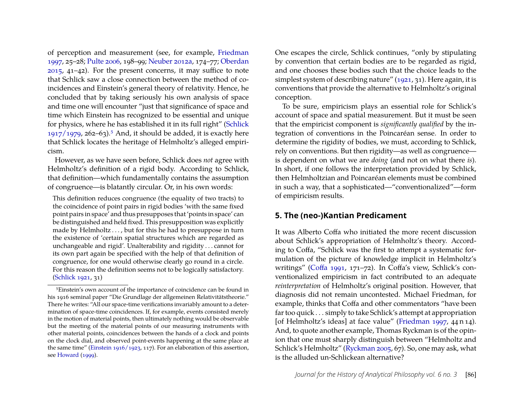of perception and measurement (see, for example, [Friedman](#page-14-11) [1997,](#page-14-11) 25–28; [Pulte 2006,](#page-15-4) 198–99; [Neuber 2012a,](#page-15-5) 174–77; [Oberdan](#page-15-6) [2015,](#page-15-6) 41–42). For the present concerns, it may suffice to note that Schlick saw a close connection between the method of coincidences and Einstein's general theory of relativity. Hence, he concluded that by taking seriously his own analysis of space and time one will encounter "just that significance of space and time which Einstein has recognized to be essential and unique for physics, where he has established it in its full right" [\(Schlick](#page-15-3)  $1917/1979$ ,  $262-63$ ).<sup>[5](#page-7-0)</sup> And, it should be added, it is exactly here that Schlick locates the heritage of Helmholtz's alleged empiricism.

However, as we have seen before, Schlick does *not* agree with Helmholtz's definition of a rigid body. According to Schlick, that definition—which fundamentally contains the assumption of congruence—is blatantly circular. Or, in his own words:

This definition reduces congruence (the equality of two tracts) to the coincidence of point pairs in rigid bodies 'with the same fixed point pairs in space' and thus presupposes that 'points in space' can be distinguished and held fixed. This presupposition was explicitly made by Helmholtz . . . , but for this he had to presuppose in turn the existence of 'certain spatial structures which are regarded as unchangeable and rigid'. Unalterability and rigidity . . . cannot for its own part again be specified with the help of that definition of congruence, for one would otherwise clearly go round in a circle. For this reason the definition seems not to be logically satisfactory. [\(Schlick 1921,](#page-15-0) 31)

One escapes the circle, Schlick continues, "only by stipulating by convention that certain bodies are to be regarded as rigid, and one chooses these bodies such that the choice leads to the simplest system of describing nature" [\(1921,](#page-15-0) 31). Here again, it is conventions that provide the alternative to Helmholtz's original conception.

To be sure, empiricism plays an essential role for Schlick's account of space and spatial measurement. But it must be seen that the empiricist component is *significantly qualified* by the integration of conventions in the Poincaréan sense. In order to determine the rigidity of bodies, we must, according to Schlick, rely on conventions. But then rigidity—as well as congruence is dependent on what we are *doing* (and not on what there *is*). In short, if one follows the interpretation provided by Schlick, then Helmholtzian and Poincaréan elements must be combined in such a way, that a sophisticated—"conventionalized"—form of empiricism results.

#### **5. The (neo-)Kantian Predicament**

It was Alberto Coffa who initiated the more recent discussion about Schlick's appropriation of Helmholtz's theory. According to Coffa, "Schlick was the first to attempt a systematic formulation of the picture of knowledge implicit in Helmholtz's writings" [\(Coffa 1991,](#page-14-14) 171–72). In Coffa's view, Schlick's conventionalized empiricism in fact contributed to an adequate *reinterpretation* of Helmholtz's original position. However, that diagnosis did not remain uncontested. Michael Friedman, for example, thinks that Coffa and other commentators "have been far too quick . . . simply to take Schlick's attempt at appropriation [of Helmholtz's ideas] at face value" [\(Friedman 1997,](#page-14-11) 44 n 14). And, to quote another example, Thomas Ryckman is of the opinion that one must sharply distinguish between "Helmholtz and Schlick's Helmholtz" [\(Ryckman 2005,](#page-15-7) 67). So, one may ask, what is the alluded un-Schlickean alternative?

<span id="page-7-0"></span><sup>5</sup>Einstein's own account of the importance of coincidence can be found in his 1916 seminal paper "Die Grundlage der allgemeinen Relativitätstheorie." There he writes: "All our space-time verifications invariably amount to a determination of space-time coincidences. If, for example, events consisted merely in the motion of material points, then ultimately nothing would be observable but the meeting of the material points of our measuring instruments with other material points, coincidences between the hands of a clock and points on the clock dial, and observed point-events happening at the same place at the same time" [\(Einstein 1916/1923,](#page-14-12) 117). For an elaboration of this assertion, see [Howard](#page-14-13) [\(1999\)](#page-14-13).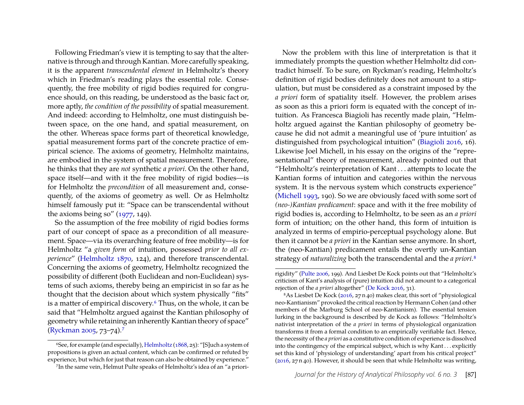Following Friedman's view it is tempting to say that the alternative is through and through Kantian. More carefully speaking, it is the apparent *transcendental element* in Helmholtz's theory which in Friedman's reading plays the essential role. Consequently, the free mobility of rigid bodies required for congruence should, on this reading, be understood as the basic fact or, more aptly, *the condition of the possibility* of spatial measurement. And indeed: according to Helmholtz, one must distinguish between space, on the one hand, and spatial measurement, on the other. Whereas space forms part of theoretical knowledge, spatial measurement forms part of the concrete practice of empirical science. The axioms of geometry, Helmholtz maintains, are embodied in the system of spatial measurement. Therefore, he thinks that they are *not* synthetic *a priori*. On the other hand, space itself—and with it the free mobility of rigid bodies—is for Helmholtz the *precondition* of all measurement and, consequently, of the axioms of geometry as well. Or as Helmholtz himself famously put it: "Space can be transcendental without the axioms being so" [\(1977,](#page-14-15) 149).

So the assumption of the free mobility of rigid bodies forms part of our concept of space as a precondition of all measurement. Space—via its overarching feature of free mobility—is for Helmholtz "a *given form* of intuition, possessed *prior to all experience*" [\(Helmholtz 1870,](#page-14-0) 124), and therefore transcendental. Concerning the axioms of geometry, Helmholtz recognized the possibility of different (both Euclidean and non-Euclidean) systems of such axioms, thereby being an empiricist in so far as he thought that the decision about which system physically "fits" is a matter of empirical discovery.[6](#page-8-0) Thus, on the whole, it can be said that "Helmholtz argued against the Kantian philosophy of geometry while retaining an inherently Kantian theory of space" [\(Ryckman 2005,](#page-15-7) 73–74).[7](#page-8-1)

Now the problem with this line of interpretation is that it immediately prompts the question whether Helmholtz did contradict himself. To be sure, on Ryckman's reading, Helmholtz's definition of rigid bodies definitely does not amount to a stipulation, but must be considered as a constraint imposed by the *a priori* form of spatiality itself. However, the problem arises as soon as this a priori form is equated with the concept of intuition. As Francesca Biagioli has recently made plain, "Helmholtz argued against the Kantian philosophy of geometry because he did not admit a meaningful use of 'pure intuition' as distinguished from psychological intuition" [\(Biagioli 2016,](#page-14-5) 16). Likewise Joel Michell, in his essay on the origins of the "representational" theory of measurement, already pointed out that "Helmholtz's reinterpretation of Kant . . . attempts to locate the Kantian forms of intuition and categories within the nervous system. It is the nervous system which constructs experience" [\(Michell 1993,](#page-15-8) 190). So we are obviously faced with some sort of *(neo-)Kantian predicament*: space and with it the free mobility of rigid bodies is, according to Helmholtz, to be seen as an *a priori* form of intuition; on the other hand, this form of intuition is analyzed in terms of empirio-perceptual psychology alone. But then it cannot be *a priori* in the Kantian sense anymore. In short, the (neo-Kantian) predicament entails the overtly un-Kantian strategy of *naturalizing* both the transcendental and the *a priori*.[8](#page-8-2)

<span id="page-8-0"></span><sup>6</sup>See, for example (and especially), [Helmholtz](#page-14-3) [\(1868,](#page-14-3) 25): "[S]uch a system of propositions is given an actual content, which can be confirmed or refuted by experience, but which for just that reason can also be obtained by experience."

<span id="page-8-1"></span><sup>7</sup>In the same vein, Helmut Pulte speaks of Helmholtz's idea of an "a priori-

rigidity" [\(Pulte 2006,](#page-15-4) 199). And Liesbet De Kock points out that "Helmholtz's criticism of Kant's analysis of (pure) intuition did not amount to a categorical rejection of the *a priori* altogether" [\(De Kock 2016,](#page-14-16) 31).

<span id="page-8-2"></span><sup>8</sup>As Liesbet De Kock [\(2016,](#page-14-16) 27 n 40) makes clear, this sort of "physiological neo-Kantianism" provoked the critical reaction by Hermann Cohen (and other members of the Marburg School of neo-Kantianism). The essential tension lurking in the background is described by de Kock as follows: "Helmholtz's nativist interpretation of the *a priori* in terms of physiological organization transforms it from a formal condition to an empirically verifiable fact. Hence, the necessity of the *a priori* as a constitutive condition of experience is dissolved into the contingency of the empirical subject, which is why Kant . . . explicitly set this kind of 'physiology of understanding' apart from his critical project" [\(2016,](#page-14-16) 27 n 40). However, it should be seen that while Helmholtz was writing,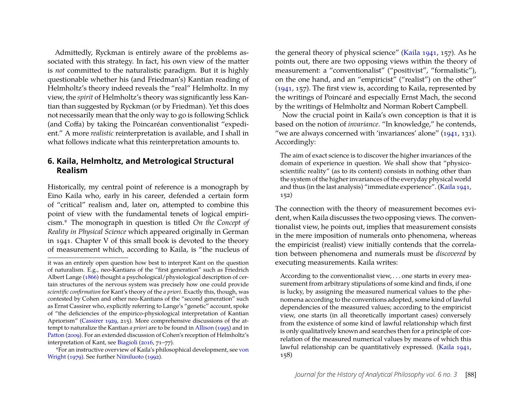Admittedly, Ryckman is entirely aware of the problems associated with this strategy. In fact, his own view of the matter is *not* committed to the naturalistic paradigm. But it is highly questionable whether his (and Friedman's) Kantian reading of Helmholtz's theory indeed reveals the "real" Helmholtz. In my view, the *spirit* of Helmholtz's theory was significantly less Kantian than suggested by Ryckman (or by Friedman). Yet this does not necessarily mean that the only way to go is following Schlick (and Coffa) by taking the Poincaréan conventionalist "expedient." A more *realistic* reinterpretation is available, and I shall in what follows indicate what this reinterpretation amounts to.

#### **6. Kaila, Helmholtz, and Metrological Structural Realism**

Historically, my central point of reference is a monograph by Eino Kaila who, early in his career, defended a certain form of "critical" realism and, later on, attempted to combine this point of view with the fundamental tenets of logical empiricism.[9](#page-9-0) The monograph in question is titled *On the Concept of Reality in Physical Science* which appeared originally in German in 1941. Chapter V of this small book is devoted to the theory of measurement which, according to Kaila, is "the nucleus of

the general theory of physical science" [\(Kaila 1941,](#page-15-13) 157). As he points out, there are two opposing views within the theory of measurement: a "conventionalist" ("positivist", "formalistic"), on the one hand, and an "empiricist" ("realist") on the other" [\(1941,](#page-15-13) 157). The first view is, according to Kaila, represented by the writings of Poincaré and especially Ernst Mach, the second by the writings of Helmholtz and Norman Robert Campbell.

Now the crucial point in Kaila's own conception is that it is based on the notion of *invariance*. "In knowledge," he contends, "we are always concerned with 'invariances' alone" [\(1941,](#page-15-13) 131). Accordingly:

The aim of exact science is to discover the higher invariances of the domain of experience in question. We shall show that "physicoscientific reality" (as to its content) consists in nothing other than the system of the higher invariances of the everyday physical world and thus (in the last analysis) "immediate experience". [\(Kaila 1941,](#page-15-13) 152)

The connection with the theory of measurement becomes evident, when Kaila discusses the two opposing views. The conventionalist view, he points out, implies that measurement consists in the mere imposition of numerals onto phenomena, whereas the empiricist (realist) view initially contends that the correlation between phenomena and numerals must be *discovered* by executing measurements. Kaila writes:

According to the conventionalist view, . . . one starts in every measurement from arbitrary stipulations of some kind and finds, if one is lucky, by assigning the measured numerical values to the phenomena according to the conventions adopted, some kind of lawful dependencies of the measured values; according to the empiricist view, one starts (in all theoretically important cases) conversely from the existence of some kind of lawful relationship which first is only qualitatively known and searches then for a principle of correlation of the measured numerical values by means of which this lawful relationship can be quantitatively expressed. [\(Kaila 1941,](#page-15-13) 158)

it was an entirely open question how best to interpret Kant on the question of naturalism. E.g., neo-Kantians of the "first generation" such as Friedrich Albert Lange [\(1866\)](#page-15-9) thought a psychological/physiological description of certain structures of the nervous system was precisely how one could provide *scientific confirmation* for Kant's theory of the *a priori*. Exactly this, though, was contested by Cohen and other neo-Kantians of the "second generation" such as Ernst Cassirer who, explicitly referring to Lange's "genetic" account, spoke of "the deficiencies of the empirico-physiological interpretation of Kantian Apriorism" [\(Cassirer 1929,](#page-14-17) 215). More comprehensive discussions of the attempt to naturalize the Kantian *a priori* are to be found in [Allison](#page-14-18) [\(1995\)](#page-14-18) and in [Patton](#page-15-10) [\(2009\)](#page-15-10). For an extended discussion of Cohen's reception of Helmholtz's interpretation of Kant, see [Biagioli](#page-14-5) [\(2016,](#page-14-5) 71–77).

<span id="page-9-0"></span><sup>9</sup>For an instructive overview of Kaila's philosophical development, see [von](#page-15-11) [Wright](#page-15-11) [\(1979\)](#page-15-11). See further [Niiniluoto](#page-15-12) [\(1992\)](#page-15-12).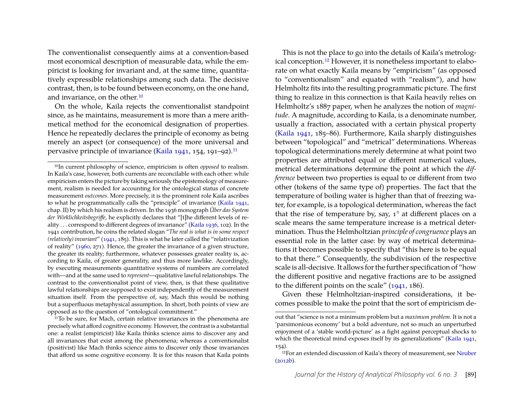The conventionalist consequently aims at a convention-based most economical description of measurable data, while the empiricist is looking for invariant and, at the same time, quantitatively expressible relationships among such data. The decisive contrast, then, is to be found between economy, on the one hand, and invariance, on the other.<sup>[10](#page-10-0)</sup>

On the whole, Kaila rejects the conventionalist standpoint since, as he maintains, measurement is more than a mere arithmetical method for the economical designation of properties. Hence he repeatedly declares the principle of economy as being merely an aspect (or consequence) of the more universal and pervasive principle of invariance [\(Kaila 1941,](#page-15-13) 154, 191–92).<sup>[11](#page-10-1)</sup>

<span id="page-10-1"></span><sup>11</sup>To be sure, for Mach, certain relative invariances in the phenomena are precisely what afford cognitive economy. However, the contrast is a substantial one: a realist (empiricist) like Kaila thinks science aims to discover any and all invariances that exist among the phenomena; whereas a conventionalist (positivist) like Mach thinks science aims to discover only those invariances that afford us some cognitive economy. It is for this reason that Kaila points

This is not the place to go into the details of Kaila's metrological conception.[12](#page-10-2) However, it is nonetheless important to elaborate on what exactly Kaila means by "empiricism" (as opposed to "conventionalism" and equated with "realism"), and how Helmholtz fits into the resulting programmatic picture. The first thing to realize in this connection is that Kaila heavily relies on Helmholtz's 1887 paper, when he analyzes the notion of *magnitude*. A magnitude, according to Kaila, is a denominate number, usually a fraction, associated with a certain physical property [\(Kaila 1941,](#page-15-13) 185–86). Furthermore, Kaila sharply distinguishes between "topological" and "metrical" determinations. Whereas topological determinations merely determine at what point two properties are attributed equal or different numerical values, metrical determinations determine the point at which the *difference* between two properties is equal to or different from two other (tokens of the same type of) properties. The fact that the temperature of boiling water is higher than that of freezing water, for example, is a topological determination, whereas the fact that the rise of temperature by, say, 1° at different places on a scale means the same temperature increase is a metrical determination. Thus the Helmholtzian *principle of congruence* plays an essential role in the latter case: by way of metrical determinations it becomes possible to specify that "this here is to be equal to that there." Consequently, the subdivision of the respective scale is all-decisive. It allows for the further specification of "how the different positive and negative fractions are to be assigned to the different points on the scale" [\(1941,](#page-15-13) 186).

Given these Helmholtzian-inspired considerations, it becomes possible to make the point that the sort of empiricism de-

<span id="page-10-0"></span><sup>10</sup>In current philosophy of science, empiricism is often *opposed* to realism. In Kaila's case, however, both currents are reconcilable with each other: while empiricism enters the picture by taking seriously the epistemology of measurement, realism is needed for accounting for the ontological status of concrete measurement *outcomes*. More precisely, it is the prominent role Kaila ascribes to what he programmatically calls the "principle" of invariance [\(Kaila 1941,](#page-15-13) chap. II) by which his realism is driven. In the 1936 monograph *Über das System der Wirklichkeitsbegriffe*, he explicitly declares that "[t]he different levels of reality . . . correspond to different degrees of invariance" [\(Kaila 1936,](#page-15-14) 102). In the 1941 contribution, he coins the related slogan "*The real is what is in some respect (relatively) invariant*" [\(1941,](#page-15-13) 185). This is what he later called the "relativization of reality" [\(1960,](#page-15-15) 271). Hence, the greater the invariance of a given structure, the greater its reality; furthermore, whatever possesses greater reality is, according to Kaila, of greater generality, and thus more lawlike. Accordingly, by executing measurements quantitative systems of numbers are correlated with—and at the same used to *represent*—qualitative lawful relationships. The contrast to the conventionalist point of view, then, is that these qualitative lawful relationships are supposed to exist independently of the measurement situation itself. From the perspective of, say, Mach this would be nothing but a superfluous metaphysical assumption. In short, both points of view are opposed as to the question of "ontological commitment."

out that "science is not a minimum problem but a *maximum problem*. It is not a 'parsimonious economy' but a bold adventure, not so much an unperturbed enjoyment of a 'stable world-picture' as a fight against perceptual shocks to which the theoretical mind exposes itself by its generalizations" [\(Kaila 1941,](#page-15-13) 154).

<span id="page-10-2"></span><sup>&</sup>lt;sup>12</sup>For an extended discussion of Kaila's theory of measurement, see [Neuber](#page-15-16)  $(2012b)$ .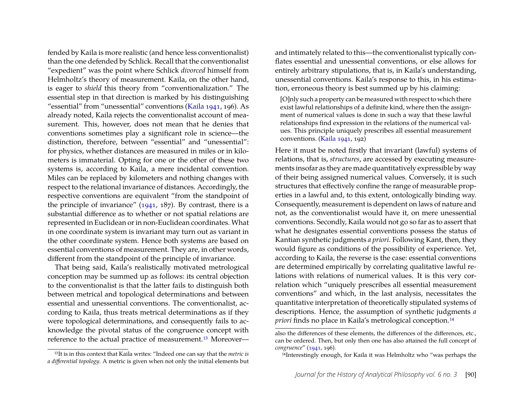fended by Kaila is more realistic (and hence less conventionalist) than the one defended by Schlick. Recall that the conventionalist "expedient" was the point where Schlick *divorced* himself from Helmholtz's theory of measurement. Kaila, on the other hand, is eager to *shield* this theory from "conventionalization." The essential step in that direction is marked by his distinguishing "essential" from "unessential" conventions [\(Kaila 1941,](#page-15-13) 196). As already noted, Kaila rejects the conventionalist account of measurement. This, however, does not mean that he denies that conventions sometimes play a significant role in science—the distinction, therefore, between "essential" and "unessential": for physics, whether distances are measured in miles or in kilometers is immaterial. Opting for one or the other of these two systems is, according to Kaila, a mere incidental convention. Miles can be replaced by kilometers and nothing changes with respect to the relational invariance of distances. Accordingly, the respective conventions are equivalent "from the standpoint of the principle of invariance" [\(1941,](#page-15-13) 187). By contrast, there is a substantial difference as to whether or not spatial relations are represented in Euclidean or in non-Euclidean coordinates. What in one coordinate system is invariant may turn out as variant in the other coordinate system. Hence both systems are based on essential conventions of measurement. They are, in other words, different from the standpoint of the principle of invariance.

That being said, Kaila's realistically motivated metrological conception may be summed up as follows: its central objection to the conventionalist is that the latter fails to distinguish both between metrical and topological determinations and between essential and unessential conventions. The conventionalist, according to Kaila, thus treats metrical determinations as if they were topological determinations, and consequently fails to acknowledge the pivotal status of the congruence concept with reference to the actual practice of measurement.[13](#page-11-0) Moreover—

<span id="page-11-0"></span>13It is in this context that Kaila writes: "Indeed one can say that the *metric is a differential topology*. A metric is given when not only the initial elements but and intimately related to this—the conventionalist typically conflates essential and unessential conventions, or else allows for entirely arbitrary stipulations, that is, in Kaila's understanding, unessential conventions. Kaila's response to this, in his estimation, erroneous theory is best summed up by his claiming:

[O]nly such a property can be measured with respect to which there exist lawful relationships of a definite kind, where then the assignment of numerical values is done in such a way that these lawful relationships find expression in the relations of the numerical values. This principle uniquely prescribes all essential measurement conventions. [\(Kaila 1941,](#page-15-13) 192)

Here it must be noted firstly that invariant (lawful) systems of relations, that is, *structures*, are accessed by executing measurements insofar as they are made quantitatively expressible by way of their being assigned numerical values. Conversely, it is such structures that effectively confine the range of measurable properties in a lawful and, to this extent, ontologically binding way. Consequently, measurement is dependent on laws of nature and not, as the conventionalist would have it, on mere unessential conventions. Secondly, Kaila would not go so far as to assert that what he designates essential conventions possess the status of Kantian synthetic judgments *a priori*. Following Kant, then, they would figure as conditions of the possibility of experience. Yet, according to Kaila, the reverse is the case: essential conventions are determined empirically by correlating qualitative lawful relations with relations of numerical values. It is this very correlation which "uniquely prescribes all essential measurement conventions" and which, in the last analysis, necessitates the quantitative interpretation of theoretically stipulated systems of descriptions. Hence, the assumption of synthetic judgments *a priori* finds no place in Kaila's metrological conception.<sup>[14](#page-11-1)</sup>

also the differences of these elements, the differences of the differences, etc., can be ordered. Then, but only then one has also attained the full concept of *congruence*" [\(1941,](#page-15-13) 196).

<span id="page-11-1"></span><sup>14</sup>Interestingly enough, for Kaila it was Helmholtz who "was perhaps the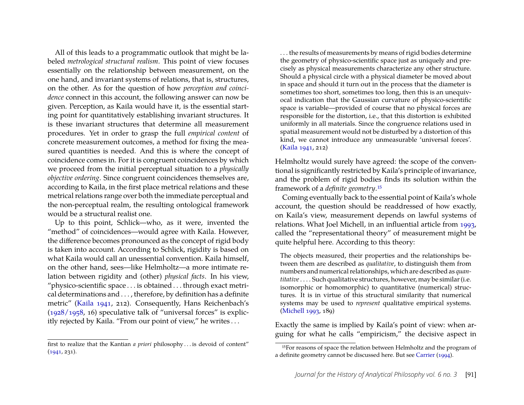All of this leads to a programmatic outlook that might be labeled *metrological structural realism*. This point of view focuses essentially on the relationship between measurement, on the one hand, and invariant systems of relations, that is, structures, on the other. As for the question of how *perception and coincidence* connect in this account, the following answer can now be given. Perception, as Kaila would have it, is the essential starting point for quantitatively establishing invariant structures. It is these invariant structures that determine all measurement procedures. Yet in order to grasp the full *empirical content* of concrete measurement outcomes, a method for fixing the measured quantities is needed. And this is where the concept of coincidence comes in. For it is congruent coincidences by which we proceed from the initial perceptual situation to a *physically objective ordering*. Since congruent coincidences themselves are, according to Kaila, in the first place metrical relations and these metrical relations range over both the immediate perceptual and the non-perceptual realm, the resulting ontological framework would be a structural realist one.

Up to this point, Schlick—who, as it were, invented the "method" of coincidences—would agree with Kaila. However, the difference becomes pronounced as the concept of rigid body is taken into account. According to Schlick, rigidity is based on what Kaila would call an unessential convention. Kaila himself, on the other hand, sees—like Helmholtz—a more intimate relation between rigidity and (other) *physical facts*. In his view, "physico-scientific space . . . is obtained . . . through exact metrical determinations and . . . , therefore, by definition has a definite metric" [\(Kaila 1941,](#page-15-13) 212). Consequently, Hans Reichenbach's [\(1928/1958,](#page-15-17) 16) speculative talk of "universal forces" is explicitly rejected by Kaila. "From our point of view," he writes . . .

first to realize that the Kantian *a priori* philosophy . . . is devoid of content"  $(1941, 231)$  $(1941, 231)$ .

. . . the results of measurements by means of rigid bodies determine the geometry of physico-scientific space just as uniquely and precisely as physical measurements characterize any other structure. Should a physical circle with a physical diameter be moved about in space and should it turn out in the process that the diameter is sometimes too short, sometimes too long, then this is an unequivocal indication that the Gaussian curvature of physico-scientific space is variable—provided of course that no physical forces are responsible for the distortion, i.e., that this distortion is exhibited uniformly in all materials. Since the congruence relations used in spatial measurement would not be disturbed by a distortion of this kind, we cannot introduce any unmeasurable 'universal forces'. [\(Kaila 1941,](#page-15-13) 212)

Helmholtz would surely have agreed: the scope of the conventional is significantly restricted by Kaila's principle of invariance, and the problem of rigid bodies finds its solution within the framework of a *definite geometry*.[15](#page-12-0)

Coming eventually back to the essential point of Kaila's whole account, the question should be readdressed of how exactly, on Kaila's view, measurement depends on lawful systems of relations. What Joel Michell, in an influential article from [1993,](#page-15-8) called the "representational theory" of measurement might be quite helpful here. According to this theory:

The objects measured, their properties and the relationships between them are described as *qualitative*, to distinguish them from numbers and numerical relationships, which are described as *quantitative*. . . . Such qualitative structures, however, may be similar (i.e. isomorphic or homomorphic) to quantitative (numerical) structures. It is in virtue of this structural similarity that numerical systems may be used to *represent* qualitative empirical systems. [\(Michell 1993,](#page-15-8) 189)

Exactly the same is implied by Kaila's point of view: when arguing for what he calls "empiricism," the decisive aspect in

<span id="page-12-0"></span><sup>15</sup>For reasons of space the relation between Helmholtz and the program of a definite geometry cannot be discussed here. But see [Carrier](#page-14-19) [\(1994\)](#page-14-19).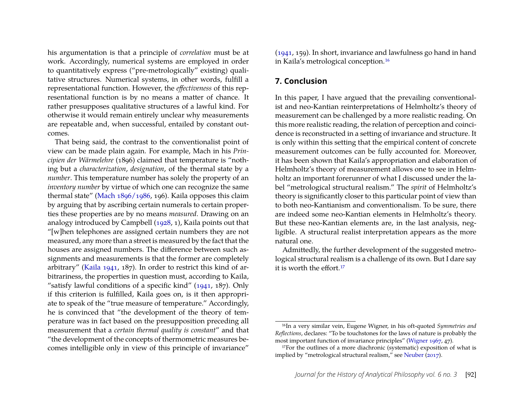his argumentation is that a principle of *correlation* must be at work. Accordingly, numerical systems are employed in order to quantitatively express ("pre-metrologically" existing) qualitative structures. Numerical systems, in other words, fulfill a representational function. However, the *effectiveness* of this representational function is by no means a matter of chance. It rather presupposes qualitative structures of a lawful kind. For otherwise it would remain entirely unclear why measurements are repeatable and, when successful, entailed by constant outcomes.

That being said, the contrast to the conventionalist point of view can be made plain again. For example, Mach in his *Principien der Wärmelehre* (1896) claimed that temperature is "nothing but a *characterization*, *designation*, of the thermal state by a *number*. This temperature number has solely the property of an *inventory number* by virtue of which one can recognize the same thermal state" [\(Mach 1896/1986,](#page-15-18) 196). Kaila opposes this claim by arguing that by ascribing certain numerals to certain properties these properties are by no means *measured*. Drawing on an analogy introduced by Campbell [\(1928,](#page-14-20) 1), Kaila points out that "[w]hen telephones are assigned certain numbers they are not measured, any more than a street is measured by the fact that the houses are assigned numbers. The difference between such assignments and measurements is that the former are completely arbitrary" [\(Kaila 1941,](#page-15-13) 187). In order to restrict this kind of arbitrariness, the properties in question must, according to Kaila, "satisfy lawful conditions of a specific kind" [\(1941,](#page-15-13) 187). Only if this criterion is fulfilled, Kaila goes on, is it then appropriate to speak of the "true measure of temperature." Accordingly, he is convinced that "the development of the theory of temperature was in fact based on the presupposition preceding all measurement that a *certain thermal quality is constant*" and that "the development of the concepts of thermometric measures becomes intelligible only in view of this principle of invariance"

[\(1941,](#page-15-13) 159). In short, invariance and lawfulness go hand in hand in Kaila's metrological conception.[16](#page-13-0)

#### **7. Conclusion**

In this paper, I have argued that the prevailing conventionalist and neo-Kantian reinterpretations of Helmholtz's theory of measurement can be challenged by a more realistic reading. On this more realistic reading, the relation of perception and coincidence is reconstructed in a setting of invariance and structure. It is only within this setting that the empirical content of concrete measurement outcomes can be fully accounted for. Moreover, it has been shown that Kaila's appropriation and elaboration of Helmholtz's theory of measurement allows one to see in Helmholtz an important forerunner of what I discussed under the label "metrological structural realism." The *spirit* of Helmholtz's theory is significantly closer to this particular point of view than to both neo-Kantianism and conventionalism. To be sure, there are indeed some neo-Kantian elements in Helmholtz's theory. But these neo-Kantian elements are, in the last analysis, negligible. A structural realist interpretation appears as the more natural one.

Admittedly, the further development of the suggested metrological structural realism is a challenge of its own. But I dare say it is worth the effort.[17](#page-13-1)

<span id="page-13-0"></span><sup>16</sup>In a very similar vein, Eugene Wigner, in his oft-quoted *Symmetries and Reflections*, declares: "To be touchstones for the laws of nature is probably the most important function of invariance principles" [\(Wigner 1967,](#page-15-19) 47).

<span id="page-13-1"></span><sup>&</sup>lt;sup>17</sup>For the outlines of a more diachronic (systematic) exposition of what is implied by "metrological structural realism," see [Neuber](#page-15-20) [\(2017\)](#page-15-20).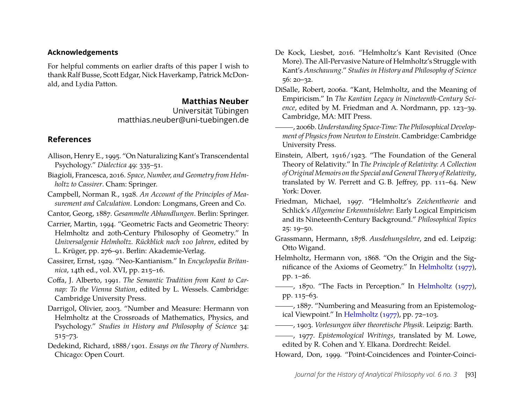#### **Acknowledgements**

For helpful comments on earlier drafts of this paper I wish to thank Ralf Busse, Scott Edgar, Nick Haverkamp, Patrick McDonald, and Lydia Patton.

**Matthias Neuber**

Universität Tübingen matthias.neuber@uni-tuebingen.de

#### **References**

- <span id="page-14-18"></span>Allison, Henry E., 1995. "On Naturalizing Kant's Transcendental Psychology." *Dialectica* 49: 335–51.
- <span id="page-14-5"></span>Biagioli, Francesca, 2016. *Space, Number, and Geometry from Helmholtz to Cassirer*. Cham: Springer.
- <span id="page-14-20"></span>Campbell, Norman R., 1928. *An Account of the Principles of Measurement and Calculation*. London: Longmans, Green and Co.
- <span id="page-14-8"></span>Cantor, Georg, 1887. *Gesammelte Abhandlungen*. Berlin: Springer.
- <span id="page-14-19"></span>Carrier, Martin, 1994. "Geometric Facts and Geometric Theory: Helmholtz and 20th-Century Philosophy of Geometry." In *Universalgenie Helmholtz. Rückblick nach 100 Jahren*, edited by L. Krüger, pp. 276–91. Berlin: Akademie-Verlag.
- <span id="page-14-17"></span>Cassirer, Ernst, 1929. "Neo-Kantianism." In *Encyclopedia Britannica*, 14th ed., vol. XVI, pp. 215–16.
- <span id="page-14-14"></span>Coffa, J. Alberto, 1991. *The Semantic Tradition from Kant to Carnap: To the Vienna Station*, edited by L. Wessels. Cambridge: Cambridge University Press.
- <span id="page-14-2"></span>Darrigol, Olivier, 2003. "Number and Measure: Hermann von Helmholtz at the Crossroads of Mathematics, Physics, and Psychology." *Studies in History and Philosophy of Science* 34: 515–73.
- <span id="page-14-7"></span>Dedekind, Richard, 1888/1901. *Essays on the Theory of Numbers*. Chicago: Open Court.
- <span id="page-14-16"></span>De Kock, Liesbet, 2016. "Helmholtz's Kant Revisited (Once More). The All-Pervasive Nature of Helmholtz's Struggle with Kant's *Anschauung*." *Studies in History and Philosophy of Science* 56: 20–32.
- <span id="page-14-9"></span>DiSalle, Robert, 2006a. "Kant, Helmholtz, and the Meaning of Empiricism." In *The Kantian Legacy in Nineteenth-Century Science*, edited by M. Friedman and A. Nordmann, pp. 123–39. Cambridge, MA: MIT Press.
- <span id="page-14-10"></span>, 2006b.*Understanding Space-Time: The Philosophical Development of Physics from Newton to Einstein*. Cambridge: Cambridge University Press.
- <span id="page-14-12"></span>Einstein, Albert, 1916/1923. "The Foundation of the General Theory of Relativity." In *The Principle of Relativity: A Collection of OriginalMemoirs on the Special and General Theory of Relativity*, translated by W. Perrett and G. B. Jeffrey, pp. 111–64. New York: Dover.
- <span id="page-14-11"></span>Friedman, Michael, 1997. "Helmholtz's *Zeichentheorie* and Schlick's *Allgemeine Erkenntnislehre*: Early Logical Empiricism and its Nineteenth-Century Background." *Philosophical Topics* 25: 19–50.
- <span id="page-14-4"></span>Grassmann, Hermann, 1878. *Ausdehungslehre*, 2nd ed. Leipzig: Otto Wigand.
- <span id="page-14-3"></span>Helmholtz, Hermann von, 1868. "On the Origin and the Significance of the Axioms of Geometry." In [Helmholtz](#page-14-15) [\(1977\)](#page-14-15), pp. 1–26.
- <span id="page-14-0"></span>(1977), 1870. "The Facts in Perception." In [Helmholtz](#page-14-15) [\(1977\)](#page-14-15), pp. 115–63.
- <span id="page-14-1"></span>-, 1887. "Numbering and Measuring from an Epistemological Viewpoint." In [Helmholtz](#page-14-15) [\(1977\)](#page-14-15), pp. 72–103.
- <span id="page-14-6"></span>, 1903. *Vorlesungen über theoretische Physik*. Leipzig: Barth.
- <span id="page-14-15"></span>, 1977. *Epistemological Writings*, translated by M. Lowe, edited by R. Cohen and Y. Elkana. Dordrecht: Reidel.

<span id="page-14-13"></span>Howard, Don, 1999. "Point-Coincidences and Pointer-Coinci-